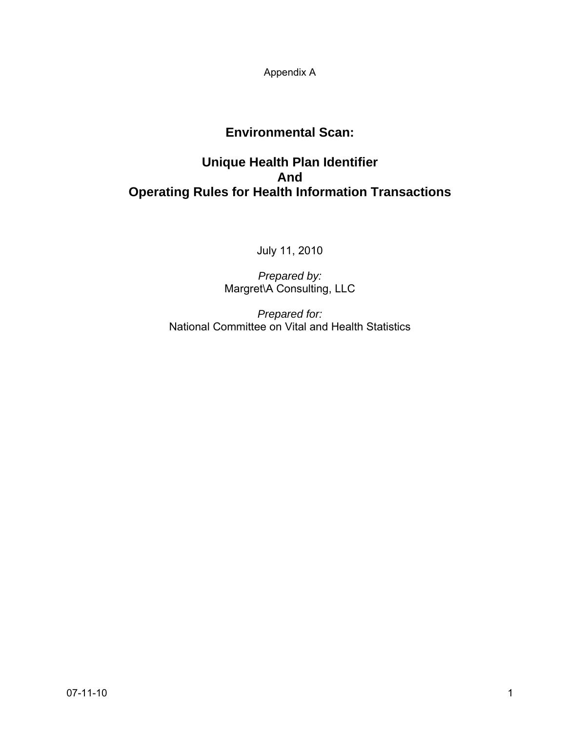Appendix A

# **Environmental Scan:**

# **Unique Health Plan Identifier And Operating Rules for Health Information Transactions**

July 11, 2010

*Prepared by:*  Margret\A Consulting, LLC

*Prepared for:*  National Committee on Vital and Health Statistics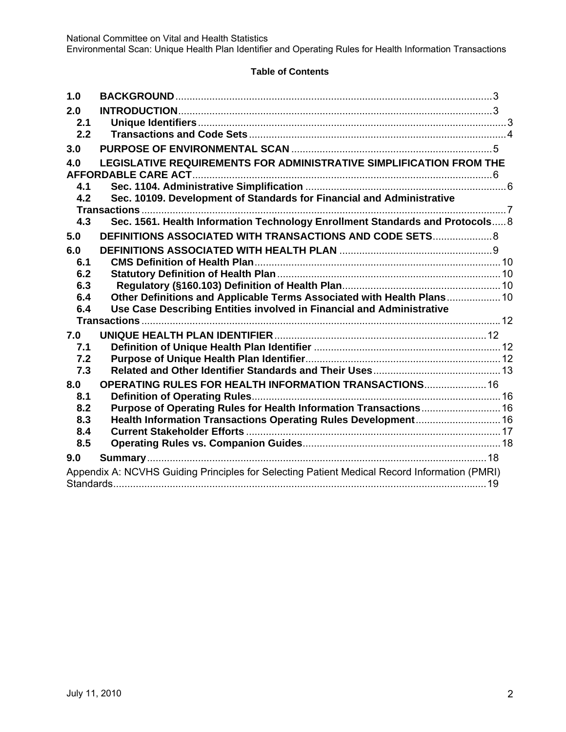Environmental Scan: Unique Health Plan Identifier and Operating Rules for Health Information Transactions

# **Table of Contents**

| 1.0        |                                                                                              |  |
|------------|----------------------------------------------------------------------------------------------|--|
| 2.0        |                                                                                              |  |
| 2.1        |                                                                                              |  |
| 2.2        |                                                                                              |  |
| 3.0        |                                                                                              |  |
| 4.0        | LEGISLATIVE REQUIREMENTS FOR ADMINISTRATIVE SIMPLIFICATION FROM THE                          |  |
|            |                                                                                              |  |
| 4.1        |                                                                                              |  |
| 4.2        | Sec. 10109. Development of Standards for Financial and Administrative                        |  |
|            |                                                                                              |  |
| 4.3        | Sec. 1561. Health Information Technology Enrollment Standards and Protocols 8                |  |
| 5.0        | DEFINITIONS ASSOCIATED WITH TRANSACTIONS AND CODE SETS 8                                     |  |
| 6.0        |                                                                                              |  |
| 6.1        |                                                                                              |  |
| 6.2        |                                                                                              |  |
| 6.3        |                                                                                              |  |
| 6.4        | Other Definitions and Applicable Terms Associated with Health Plans 10                       |  |
| 6.4        | Use Case Describing Entities involved in Financial and Administrative                        |  |
|            |                                                                                              |  |
| 7.0        |                                                                                              |  |
| 7.1        |                                                                                              |  |
| 7.2        |                                                                                              |  |
| 7.3        |                                                                                              |  |
| 8.0        | OPERATING RULES FOR HEALTH INFORMATION TRANSACTIONS 16                                       |  |
| 8.1        |                                                                                              |  |
| 8.2        | Purpose of Operating Rules for Health Information Transactions 16                            |  |
| 8.3<br>8.4 |                                                                                              |  |
| 8.5        |                                                                                              |  |
|            |                                                                                              |  |
| 9.0        |                                                                                              |  |
|            | Appendix A: NCVHS Guiding Principles for Selecting Patient Medical Record Information (PMRI) |  |
|            |                                                                                              |  |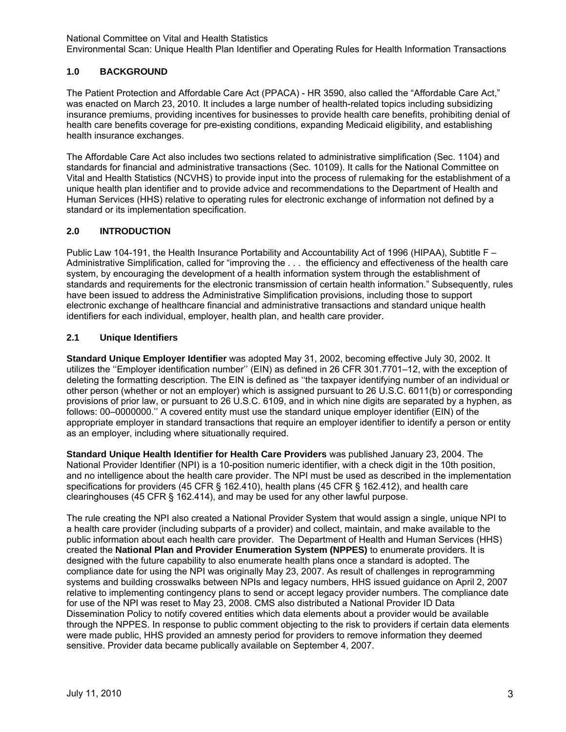# **1.0 BACKGROUND**

The Patient Protection and Affordable Care Act (PPACA) - HR 3590, also called the "Affordable Care Act," was enacted on March 23, 2010. It includes a large number of health-related topics including subsidizing insurance premiums, providing incentives for businesses to provide health care benefits, prohibiting denial of health care benefits coverage for pre-existing conditions, expanding Medicaid eligibility, and establishing health insurance exchanges.

The Affordable Care Act also includes two sections related to administrative simplification (Sec. 1104) and standards for financial and administrative transactions (Sec. 10109). It calls for the National Committee on Vital and Health Statistics (NCVHS) to provide input into the process of rulemaking for the establishment of a unique health plan identifier and to provide advice and recommendations to the Department of Health and Human Services (HHS) relative to operating rules for electronic exchange of information not defined by a standard or its implementation specification.

# **2.0 INTRODUCTION**

Public Law 104-191, the Health Insurance Portability and Accountability Act of 1996 (HIPAA), Subtitle F – Administrative Simplification, called for "improving the . . . the efficiency and effectiveness of the health care system, by encouraging the development of a health information system through the establishment of standards and requirements for the electronic transmission of certain health information." Subsequently, rules have been issued to address the Administrative Simplification provisions, including those to support electronic exchange of healthcare financial and administrative transactions and standard unique health identifiers for each individual, employer, health plan, and health care provider.

# **2.1 Unique Identifiers**

**Standard Unique Employer Identifier** was adopted May 31, 2002, becoming effective July 30, 2002. It utilizes the ''Employer identification number'' (EIN) as defined in 26 CFR 301.7701–12, with the exception of deleting the formatting description. The EIN is defined as ''the taxpayer identifying number of an individual or other person (whether or not an employer) which is assigned pursuant to 26 U.S.C. 6011(b) or corresponding provisions of prior law, or pursuant to 26 U.S.C. 6109, and in which nine digits are separated by a hyphen, as follows: 00–0000000.'' A covered entity must use the standard unique employer identifier (EIN) of the appropriate employer in standard transactions that require an employer identifier to identify a person or entity as an employer, including where situationally required.

**Standard Unique Health Identifier for Health Care Providers** was published January 23, 2004. The National Provider Identifier (NPI) is a 10-position numeric identifier, with a check digit in the 10th position, and no intelligence about the health care provider. The NPI must be used as described in the implementation specifications for providers (45 CFR § 162.410), health plans (45 CFR § 162.412), and health care clearinghouses (45 CFR § 162.414), and may be used for any other lawful purpose.

The rule creating the NPI also created a National Provider System that would assign a single, unique NPI to a health care provider (including subparts of a provider) and collect, maintain, and make available to the public information about each health care provider. The Department of Health and Human Services (HHS) created the **National Plan and Provider Enumeration System (NPPES)** to enumerate providers. It is designed with the future capability to also enumerate health plans once a standard is adopted. The compliance date for using the NPI was originally May 23, 2007. As result of challenges in reprogramming systems and building crosswalks between NPIs and legacy numbers, HHS issued guidance on April 2, 2007 relative to implementing contingency plans to send or accept legacy provider numbers. The compliance date for use of the NPI was reset to May 23, 2008. CMS also distributed a National Provider ID Data Dissemination Policy to notify covered entities which data elements about a provider would be available through the NPPES. In response to public comment objecting to the risk to providers if certain data elements were made public, HHS provided an amnesty period for providers to remove information they deemed sensitive. Provider data became publically available on September 4, 2007.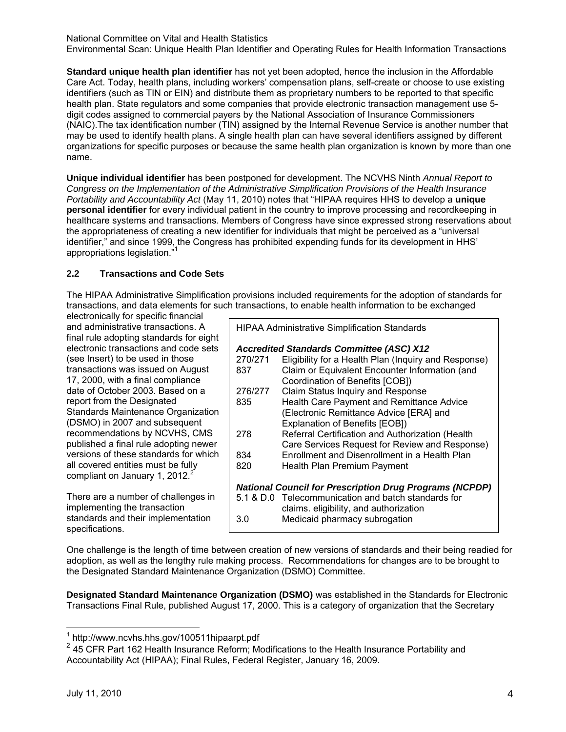National Committee on Vital and Health Statistics Environmental Scan: Unique Health Plan Identifier and Operating Rules for Health Information Transactions

**Standard unique health plan identifier** has not yet been adopted, hence the inclusion in the Affordable Care Act. Today, health plans, including workers' compensation plans, self-create or choose to use existing identifiers (such as TIN or EIN) and distribute them as proprietary numbers to be reported to that specific health plan. State regulators and some companies that provide electronic transaction management use 5 digit codes assigned to commercial payers by the National Association of Insurance Commissioners (NAIC).The tax identification number (TIN) assigned by the Internal Revenue Service is another number that may be used to identify health plans. A single health plan can have several identifiers assigned by different organizations for specific purposes or because the same health plan organization is known by more than one name.

**Unique individual identifier** has been postponed for development. The NCVHS Ninth *Annual Report to Congress on the Implementation of the Administrative Simplification Provisions of the Health Insurance Portability and Accountability Act* (May 11, 2010) notes that "HIPAA requires HHS to develop a **unique personal identifier** for every individual patient in the country to improve processing and recordkeeping in healthcare systems and transactions. Members of Congress have since expressed strong reservations about the appropriateness of creating a new identifier for individuals that might be perceived as a "universal identifier," and since 1999, the Congress has prohibited expending funds for its development in HHS' appropriations legislation."

#### **2.2 Transactions and Code Sets**

The HIPAA Administrative Simplification provisions included requirements for the adoption of standards for transactions, and data elements for such transactions, to enable health information to be exchanged

electronically for specific financial and administrative transactions. A final rule adopting standards for eight electronic transactions and code sets (see Insert) to be used in those transactions was issued on August 17, 2000, with a final compliance date of October 2003. Based on a report from the Designated Standards Maintenance Organization (DSMO) in 2007 and subsequent recommendations by NCVHS, CMS published a final rule adopting newer versions of these standards for which all covered entities must be fully compliant on January 1, 2012. $^2$ 

There are a number of challenges in implementing the transaction standards and their implementation specifications.

| <b>HIPAA Administrative Simplification Standards</b>           |                                                      |  |  |  |  |
|----------------------------------------------------------------|------------------------------------------------------|--|--|--|--|
| <b>Accredited Standards Committee (ASC) X12</b>                |                                                      |  |  |  |  |
| 270/271                                                        | Eligibility for a Health Plan (Inquiry and Response) |  |  |  |  |
| 837                                                            | Claim or Equivalent Encounter Information (and       |  |  |  |  |
|                                                                | Coordination of Benefits [COB])                      |  |  |  |  |
| 276/277                                                        | Claim Status Inquiry and Response                    |  |  |  |  |
| 835                                                            | <b>Health Care Payment and Remittance Advice</b>     |  |  |  |  |
|                                                                | (Electronic Remittance Advice [ERA] and              |  |  |  |  |
|                                                                | <b>Explanation of Benefits [EOB])</b>                |  |  |  |  |
| 278                                                            | Referral Certification and Authorization (Health     |  |  |  |  |
|                                                                | Care Services Request for Review and Response)       |  |  |  |  |
| 834                                                            | Enrollment and Disenrollment in a Health Plan        |  |  |  |  |
| 820                                                            | Health Plan Premium Payment                          |  |  |  |  |
|                                                                |                                                      |  |  |  |  |
| <b>National Council for Prescription Drug Programs (NCPDP)</b> |                                                      |  |  |  |  |
|                                                                | 5.1 & D.0 Telecommunication and batch standards for  |  |  |  |  |
|                                                                | claims. eligibility, and authorization               |  |  |  |  |
| 3.0                                                            | Medicaid pharmacy subrogation                        |  |  |  |  |

One challenge is the length of time between creation of new versions of standards and their being readied for adoption, as well as the lengthy rule making process. Recommendations for changes are to be brought to the Designated Standard Maintenance Organization (DSMO) Committee.

**Designated Standard Maintenance Organization (DSMO)** was established in the Standards for Electronic Transactions Final Rule, published August 17, 2000. This is a category of organization that the Secretary

 1 http://www.ncvhs.hhs.gov/100511hipaarpt.pdf

<sup>&</sup>lt;sup>2</sup> 45 CFR Part 162 Health Insurance Reform; Modifications to the Health Insurance Portability and Accountability Act (HIPAA); Final Rules, Federal Register, January 16, 2009.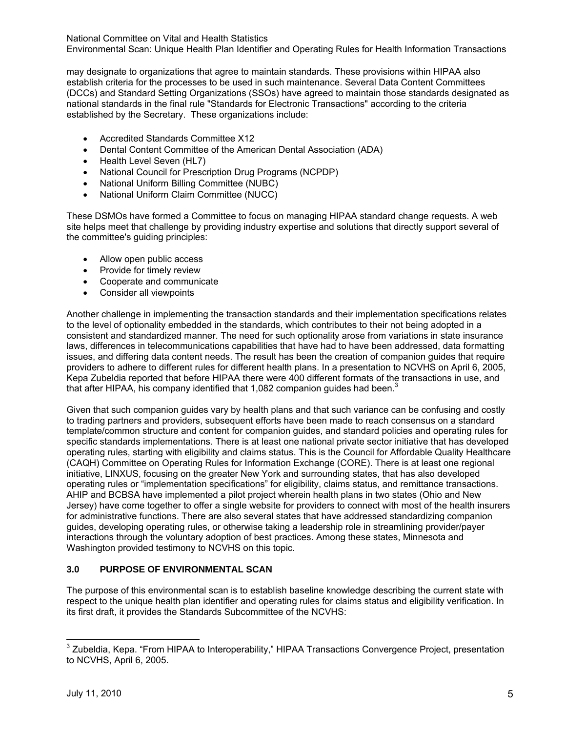National Committee on Vital and Health Statistics Environmental Scan: Unique Health Plan Identifier and Operating Rules for Health Information Transactions

may designate to organizations that agree to maintain standards. These provisions within HIPAA also establish criteria for the processes to be used in such maintenance. Several Data Content Committees (DCCs) and Standard Setting Organizations (SSOs) have agreed to maintain those standards designated as national standards in the final rule "Standards for Electronic Transactions" according to the criteria established by the Secretary. These organizations include:

- Accredited Standards Committee X12
- Dental Content Committee of the American Dental Association (ADA)
- Health Level Seven (HL7)
- National Council for Prescription Drug Programs (NCPDP)
- National Uniform Billing Committee (NUBC)
- National Uniform Claim Committee (NUCC)

These DSMOs have formed a Committee to focus on managing HIPAA standard change requests. A web site helps meet that challenge by providing industry expertise and solutions that directly support several of the committee's guiding principles:

- Allow open public access
- Provide for timely review
- Cooperate and communicate
- Consider all viewpoints

Another challenge in implementing the transaction standards and their implementation specifications relates to the level of optionality embedded in the standards, which contributes to their not being adopted in a consistent and standardized manner. The need for such optionality arose from variations in state insurance laws, differences in telecommunications capabilities that have had to have been addressed, data formatting issues, and differing data content needs. The result has been the creation of companion guides that require providers to adhere to different rules for different health plans. In a presentation to NCVHS on April 6, 2005, Kepa Zubeldia reported that before HIPAA there were 400 different formats of the transactions in use, and that after HIPAA, his company identified that 1,082 companion guides had been.<sup>3</sup>

Given that such companion guides vary by health plans and that such variance can be confusing and costly to trading partners and providers, subsequent efforts have been made to reach consensus on a standard template/common structure and content for companion guides, and standard policies and operating rules for specific standards implementations. There is at least one national private sector initiative that has developed operating rules, starting with eligibility and claims status. This is the Council for Affordable Quality Healthcare (CAQH) Committee on Operating Rules for Information Exchange (CORE). There is at least one regional initiative, LINXUS, focusing on the greater New York and surrounding states, that has also developed operating rules or "implementation specifications" for eligibility, claims status, and remittance transactions. AHIP and BCBSA have implemented a pilot project wherein health plans in two states (Ohio and New Jersey) have come together to offer a single website for providers to connect with most of the health insurers for administrative functions. There are also several states that have addressed standardizing companion guides, developing operating rules, or otherwise taking a leadership role in streamlining provider/payer interactions through the voluntary adoption of best practices. Among these states, Minnesota and Washington provided testimony to NCVHS on this topic.

# **3.0 PURPOSE OF ENVIRONMENTAL SCAN**

The purpose of this environmental scan is to establish baseline knowledge describing the current state with respect to the unique health plan identifier and operating rules for claims status and eligibility verification. In its first draft, it provides the Standards Subcommittee of the NCVHS:

\_\_\_\_\_\_\_\_\_\_\_\_\_\_\_\_\_\_\_\_\_\_\_\_\_\_\_\_\_\_\_\_<br><sup>3</sup> Zubeldia, Kepa. "From HIPAA to Interoperability," HIPAA Transactions Convergence Project, presentation <sub>\_</sub> to NCVHS, April 6, 2005.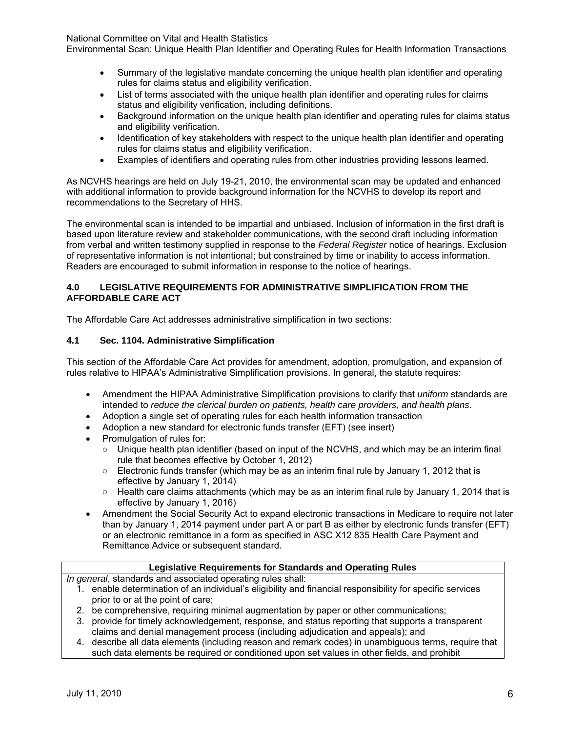Environmental Scan: Unique Health Plan Identifier and Operating Rules for Health Information Transactions

- Summary of the legislative mandate concerning the unique health plan identifier and operating rules for claims status and eligibility verification.
- List of terms associated with the unique health plan identifier and operating rules for claims status and eligibility verification, including definitions.
- Background information on the unique health plan identifier and operating rules for claims status and eligibility verification.
- Identification of key stakeholders with respect to the unique health plan identifier and operating rules for claims status and eligibility verification.
- Examples of identifiers and operating rules from other industries providing lessons learned.

As NCVHS hearings are held on July 19-21, 2010, the environmental scan may be updated and enhanced with additional information to provide background information for the NCVHS to develop its report and recommendations to the Secretary of HHS.

The environmental scan is intended to be impartial and unbiased. Inclusion of information in the first draft is based upon literature review and stakeholder communications, with the second draft including information from verbal and written testimony supplied in response to the *Federal Register* notice of hearings. Exclusion of representative information is not intentional; but constrained by time or inability to access information. Readers are encouraged to submit information in response to the notice of hearings.

#### **4.0 LEGISLATIVE REQUIREMENTS FOR ADMINISTRATIVE SIMPLIFICATION FROM THE AFFORDABLE CARE ACT**

The Affordable Care Act addresses administrative simplification in two sections:

## **4.1 Sec. 1104. Administrative Simplification**

This section of the Affordable Care Act provides for amendment, adoption, promulgation, and expansion of rules relative to HIPAA's Administrative Simplification provisions. In general, the statute requires:

- Amendment the HIPAA Administrative Simplification provisions to clarify that *uniform* standards are intended to *reduce the clerical burden on patients, health care providers, and health plans*.
- Adoption a single set of operating rules for each health information transaction
- Adoption a new standard for electronic funds transfer (EFT) (see insert)
- Promulgation of rules for:
	- Unique health plan identifier (based on input of the NCVHS, and which may be an interim final rule that becomes effective by October 1, 2012)
	- Electronic funds transfer (which may be as an interim final rule by January 1, 2012 that is effective by January 1, 2014)
	- Health care claims attachments (which may be as an interim final rule by January 1, 2014 that is effective by January 1, 2016)
- Amendment the Social Security Act to expand electronic transactions in Medicare to require not later than by January 1, 2014 payment under part A or part B as either by electronic funds transfer (EFT) or an electronic remittance in a form as specified in ASC X12 835 Health Care Payment and Remittance Advice or subsequent standard.

#### **Legislative Requirements for Standards and Operating Rules**

*In general*, standards and associated operating rules shall:

- 1. enable determination of an individual's eligibility and financial responsibility for specific services prior to or at the point of care;
- 2. be comprehensive, requiring minimal augmentation by paper or other communications;
- 3. provide for timely acknowledgement, response, and status reporting that supports a transparent claims and denial management process (including adjudication and appeals); and
- 4. describe all data elements (including reason and remark codes) in unambiguous terms, require that such data elements be required or conditioned upon set values in other fields, and prohibit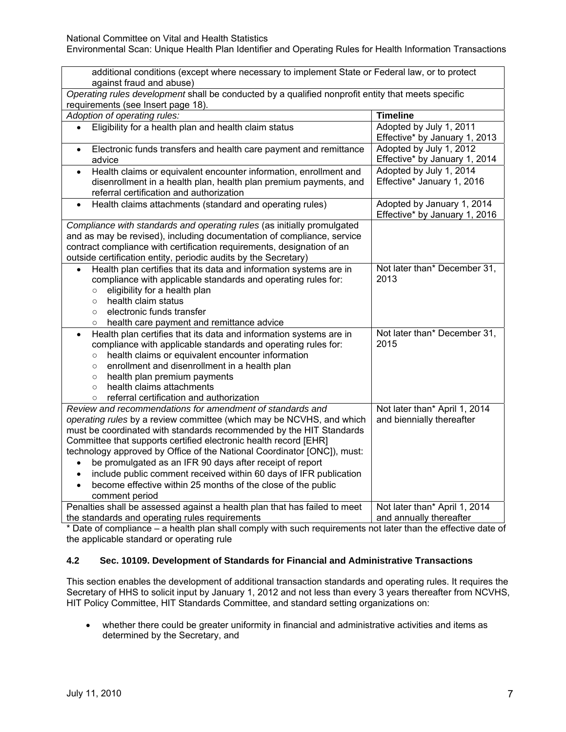| additional conditions (except where necessary to implement State or Federal law, or to protect<br>against fraud and abuse)                                                                                                                                                                                                                                                                                                                                                                                                                                                                           |                                                             |  |  |  |
|------------------------------------------------------------------------------------------------------------------------------------------------------------------------------------------------------------------------------------------------------------------------------------------------------------------------------------------------------------------------------------------------------------------------------------------------------------------------------------------------------------------------------------------------------------------------------------------------------|-------------------------------------------------------------|--|--|--|
| Operating rules development shall be conducted by a qualified nonprofit entity that meets specific<br>requirements (see Insert page 18).                                                                                                                                                                                                                                                                                                                                                                                                                                                             |                                                             |  |  |  |
| Adoption of operating rules:                                                                                                                                                                                                                                                                                                                                                                                                                                                                                                                                                                         | <b>Timeline</b>                                             |  |  |  |
| Eligibility for a health plan and health claim status                                                                                                                                                                                                                                                                                                                                                                                                                                                                                                                                                | Adopted by July 1, 2011<br>Effective* by January 1, 2013    |  |  |  |
| Electronic funds transfers and health care payment and remittance<br>$\bullet$<br>advice                                                                                                                                                                                                                                                                                                                                                                                                                                                                                                             | Adopted by July 1, 2012<br>Effective* by January 1, 2014    |  |  |  |
| Health claims or equivalent encounter information, enrollment and<br>$\bullet$<br>disenrollment in a health plan, health plan premium payments, and<br>referral certification and authorization                                                                                                                                                                                                                                                                                                                                                                                                      | Adopted by July 1, 2014<br>Effective* January 1, 2016       |  |  |  |
| Health claims attachments (standard and operating rules)<br>$\bullet$                                                                                                                                                                                                                                                                                                                                                                                                                                                                                                                                | Adopted by January 1, 2014<br>Effective* by January 1, 2016 |  |  |  |
| Compliance with standards and operating rules (as initially promulgated<br>and as may be revised), including documentation of compliance, service<br>contract compliance with certification requirements, designation of an<br>outside certification entity, periodic audits by the Secretary)                                                                                                                                                                                                                                                                                                       |                                                             |  |  |  |
| Health plan certifies that its data and information systems are in<br>compliance with applicable standards and operating rules for:<br>eligibility for a health plan<br>$\circ$<br>health claim status<br>$\circ$<br>electronic funds transfer<br>$\circ$<br>health care payment and remittance advice<br>O                                                                                                                                                                                                                                                                                          | Not later than* December 31,<br>2013                        |  |  |  |
| Health plan certifies that its data and information systems are in<br>$\bullet$<br>compliance with applicable standards and operating rules for:<br>health claims or equivalent encounter information<br>$\circ$<br>enrollment and disenrollment in a health plan<br>$\circ$<br>health plan premium payments<br>$\circ$<br>health claims attachments<br>$\circ$<br>referral certification and authorization<br>$\circ$                                                                                                                                                                               | Not later than* December 31,<br>2015                        |  |  |  |
| Review and recommendations for amendment of standards and<br>operating rules by a review committee (which may be NCVHS, and which<br>must be coordinated with standards recommended by the HIT Standards<br>Committee that supports certified electronic health record [EHR]<br>technology approved by Office of the National Coordinator [ONC]), must:<br>be promulgated as an IFR 90 days after receipt of report<br>include public comment received within 60 days of IFR publication<br>$\bullet$<br>become effective within 25 months of the close of the public<br>$\bullet$<br>comment period | Not later than* April 1, 2014<br>and biennially thereafter  |  |  |  |
| Penalties shall be assessed against a health plan that has failed to meet<br>the standards and operating rules requirements                                                                                                                                                                                                                                                                                                                                                                                                                                                                          | Not later than* April 1, 2014<br>and annually thereafter    |  |  |  |

\* Date of compliance – a health plan shall comply with such requirements not later than the effective date of the applicable standard or operating rule

## **4.2 Sec. 10109. Development of Standards for Financial and Administrative Transactions**

This section enables the development of additional transaction standards and operating rules. It requires the Secretary of HHS to solicit input by January 1, 2012 and not less than every 3 years thereafter from NCVHS, HIT Policy Committee, HIT Standards Committee, and standard setting organizations on:

• whether there could be greater uniformity in financial and administrative activities and items as determined by the Secretary, and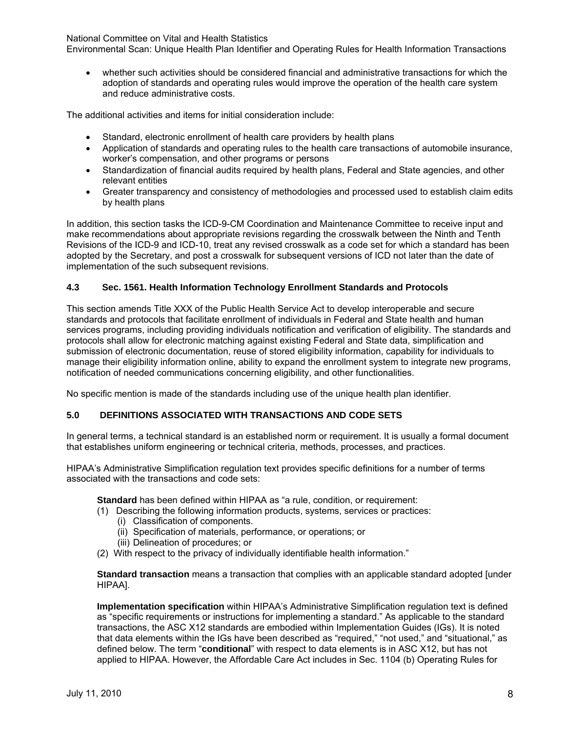Environmental Scan: Unique Health Plan Identifier and Operating Rules for Health Information Transactions

• whether such activities should be considered financial and administrative transactions for which the adoption of standards and operating rules would improve the operation of the health care system and reduce administrative costs.

The additional activities and items for initial consideration include:

- Standard, electronic enrollment of health care providers by health plans
- Application of standards and operating rules to the health care transactions of automobile insurance, worker's compensation, and other programs or persons
- Standardization of financial audits required by health plans, Federal and State agencies, and other relevant entities
- Greater transparency and consistency of methodologies and processed used to establish claim edits by health plans

In addition, this section tasks the ICD-9-CM Coordination and Maintenance Committee to receive input and make recommendations about appropriate revisions regarding the crosswalk between the Ninth and Tenth Revisions of the ICD-9 and ICD-10, treat any revised crosswalk as a code set for which a standard has been adopted by the Secretary, and post a crosswalk for subsequent versions of ICD not later than the date of implementation of the such subsequent revisions.

#### **4.3 Sec. 1561. Health Information Technology Enrollment Standards and Protocols**

This section amends Title XXX of the Public Health Service Act to develop interoperable and secure standards and protocols that facilitate enrollment of individuals in Federal and State health and human services programs, including providing individuals notification and verification of eligibility. The standards and protocols shall allow for electronic matching against existing Federal and State data, simplification and submission of electronic documentation, reuse of stored eligibility information, capability for individuals to manage their eligibility information online, ability to expand the enrollment system to integrate new programs, notification of needed communications concerning eligibility, and other functionalities.

No specific mention is made of the standards including use of the unique health plan identifier.

#### **5.0 DEFINITIONS ASSOCIATED WITH TRANSACTIONS AND CODE SETS**

In general terms, a technical standard is an established norm or requirement. It is usually a formal document that establishes uniform engineering or technical criteria, methods, processes, and practices.

HIPAA's Administrative Simplification regulation text provides specific definitions for a number of terms associated with the transactions and code sets:

**Standard** has been defined within HIPAA as "a rule, condition, or requirement:

- (1) Describing the following information products, systems, services or practices:
	- (i) Classification of components.
	- (ii) Specification of materials, performance, or operations; or
	- (iii) Delineation of procedures; or
- (2) With respect to the privacy of individually identifiable health information."

**Standard transaction** means a transaction that complies with an applicable standard adopted [under HIPAA].

**Implementation specification** within HIPAA's Administrative Simplification regulation text is defined as "specific requirements or instructions for implementing a standard." As applicable to the standard transactions, the ASC X12 standards are embodied within Implementation Guides (IGs). It is noted that data elements within the IGs have been described as "required," "not used," and "situational," as defined below. The term "**conditional**" with respect to data elements is in ASC X12, but has not applied to HIPAA. However, the Affordable Care Act includes in Sec. 1104 (b) Operating Rules for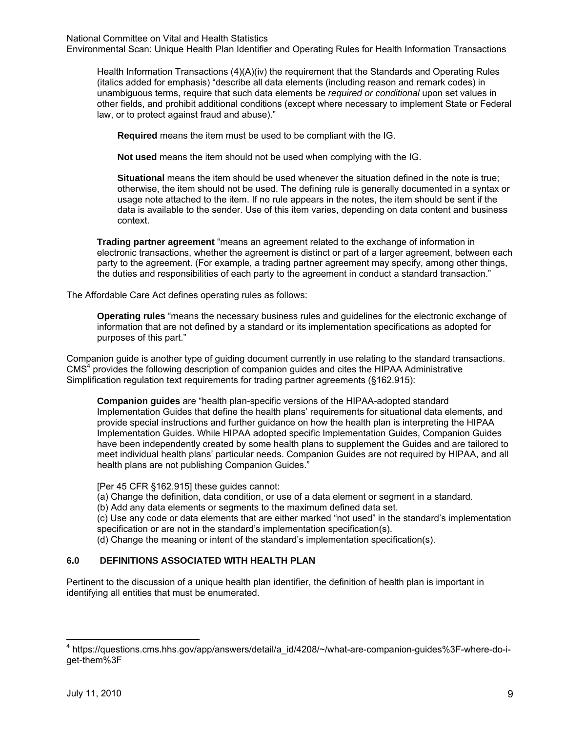Environmental Scan: Unique Health Plan Identifier and Operating Rules for Health Information Transactions

Health Information Transactions (4)(A)(iv) the requirement that the Standards and Operating Rules (italics added for emphasis) "describe all data elements (including reason and remark codes) in unambiguous terms, require that such data elements be *required or conditional* upon set values in other fields, and prohibit additional conditions (except where necessary to implement State or Federal law, or to protect against fraud and abuse)."

**Required** means the item must be used to be compliant with the IG.

**Not used** means the item should not be used when complying with the IG.

**Situational** means the item should be used whenever the situation defined in the note is true; otherwise, the item should not be used. The defining rule is generally documented in a syntax or usage note attached to the item. If no rule appears in the notes, the item should be sent if the data is available to the sender. Use of this item varies, depending on data content and business context.

**Trading partner agreement** "means an agreement related to the exchange of information in electronic transactions, whether the agreement is distinct or part of a larger agreement, between each party to the agreement. (For example, a trading partner agreement may specify, among other things, the duties and responsibilities of each party to the agreement in conduct a standard transaction."

The Affordable Care Act defines operating rules as follows:

**Operating rules** "means the necessary business rules and guidelines for the electronic exchange of information that are not defined by a standard or its implementation specifications as adopted for purposes of this part."

Companion guide is another type of guiding document currently in use relating to the standard transactions. CMS<sup>4</sup> provides the following description of companion guides and cites the HIPAA Administrative Simplification regulation text requirements for trading partner agreements (§162.915):

**Companion guides** are "health plan-specific versions of the HIPAA-adopted standard Implementation Guides that define the health plans' requirements for situational data elements, and provide special instructions and further guidance on how the health plan is interpreting the HIPAA Implementation Guides. While HIPAA adopted specific Implementation Guides, Companion Guides have been independently created by some health plans to supplement the Guides and are tailored to meet individual health plans' particular needs. Companion Guides are not required by HIPAA, and all health plans are not publishing Companion Guides."

[Per 45 CFR §162.915] these guides cannot:

(a) Change the definition, data condition, or use of a data element or segment in a standard.

(b) Add any data elements or segments to the maximum defined data set.

(c) Use any code or data elements that are either marked "not used" in the standard's implementation specification or are not in the standard's implementation specification(s).

(d) Change the meaning or intent of the standard's implementation specification(s).

## **6.0 DEFINITIONS ASSOCIATED WITH HEALTH PLAN**

Pertinent to the discussion of a unique health plan identifier, the definition of health plan is important in identifying all entities that must be enumerated.

<sup>4</sup> https://questions.cms.hhs.gov/app/answers/detail/a\_id/4208/~/what-are-companion-guides%3F-where-do-iget-them%3F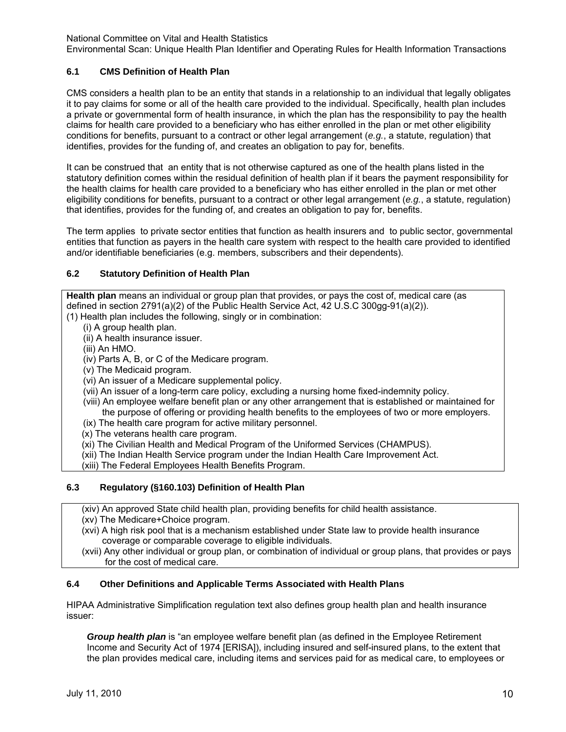Environmental Scan: Unique Health Plan Identifier and Operating Rules for Health Information Transactions

## **6.1 CMS Definition of Health Plan**

CMS considers a health plan to be an entity that stands in a relationship to an individual that legally obligates it to pay claims for some or all of the health care provided to the individual. Specifically, health plan includes a private or governmental form of health insurance, in which the plan has the responsibility to pay the health claims for health care provided to a beneficiary who has either enrolled in the plan or met other eligibility conditions for benefits, pursuant to a contract or other legal arrangement (*e.g.*, a statute, regulation) that identifies, provides for the funding of, and creates an obligation to pay for, benefits.

It can be construed that an entity that is not otherwise captured as one of the health plans listed in the statutory definition comes within the residual definition of health plan if it bears the payment responsibility for the health claims for health care provided to a beneficiary who has either enrolled in the plan or met other eligibility conditions for benefits, pursuant to a contract or other legal arrangement (*e.g.*, a statute, regulation) that identifies, provides for the funding of, and creates an obligation to pay for, benefits.

The term applies to private sector entities that function as health insurers and to public sector, governmental entities that function as payers in the health care system with respect to the health care provided to identified and/or identifiable beneficiaries (e.g. members, subscribers and their dependents).

#### **6.2 Statutory Definition of Health Plan**

**Health plan** means an individual or group plan that provides, or pays the cost of, medical care (as defined in section 2791(a)(2) of the Public Health Service Act, 42 U.S.C 300gg-91(a)(2)). (1) Health plan includes the following, singly or in combination:

- (i) A group health plan.
	- (ii) A health insurance issuer.
	- (iii) An HMO.
	- (iv) Parts A, B, or C of the Medicare program.
	- (v) The Medicaid program.
	- (vi) An issuer of a Medicare supplemental policy.
	- (vii) An issuer of a long-term care policy, excluding a nursing home fixed-indemnity policy.
	- (viii) An employee welfare benefit plan or any other arrangement that is established or maintained for the purpose of offering or providing health benefits to the employees of two or more employers.
	- (ix) The health care program for active military personnel.
- (x) The veterans health care program.
- (xi) The Civilian Health and Medical Program of the Uniformed Services (CHAMPUS).
- (xii) The Indian Health Service program under the Indian Health Care Improvement Act.
- (xiii) The Federal Employees Health Benefits Program.

#### **6.3 Regulatory (§160.103) Definition of Health Plan**

(xiv) An approved State child health plan, providing benefits for child health assistance.

- (xv) The Medicare+Choice program.
- (xvi) A high risk pool that is a mechanism established under State law to provide health insurance coverage or comparable coverage to eligible individuals.
- (xvii) Any other individual or group plan, or combination of individual or group plans, that provides or pays for the cost of medical care.

#### **6.4 Other Definitions and Applicable Terms Associated with Health Plans**

HIPAA Administrative Simplification regulation text also defines group health plan and health insurance issuer:

*Group health plan* is "an employee welfare benefit plan (as defined in the Employee Retirement Income and Security Act of 1974 [ERISA]), including insured and self-insured plans, to the extent that the plan provides medical care, including items and services paid for as medical care, to employees or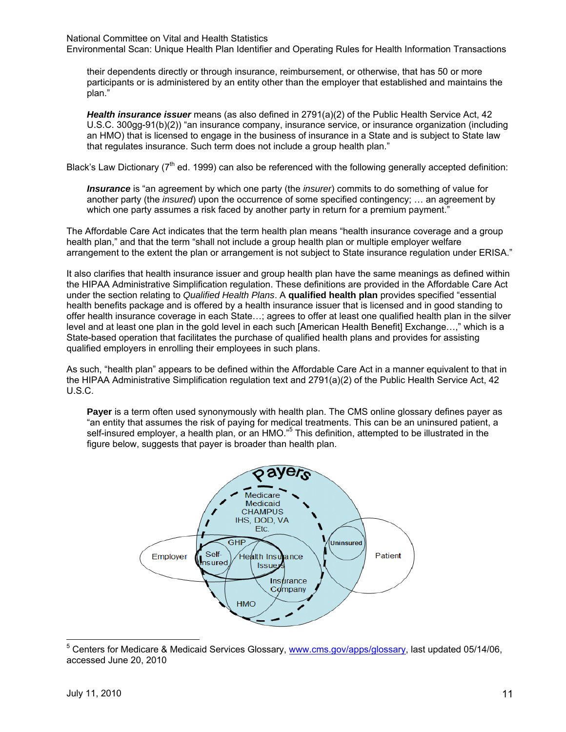Environmental Scan: Unique Health Plan Identifier and Operating Rules for Health Information Transactions

their dependents directly or through insurance, reimbursement, or otherwise, that has 50 or more participants or is administered by an entity other than the employer that established and maintains the plan."

*Health insurance issuer* means (as also defined in 2791(a)(2) of the Public Health Service Act, 42 U.S.C. 300gg-91(b)(2)) "an insurance company, insurance service, or insurance organization (including an HMO) that is licensed to engage in the business of insurance in a State and is subject to State law that regulates insurance. Such term does not include a group health plan."

Black's Law Dictionary ( $7<sup>th</sup>$  ed. 1999) can also be referenced with the following generally accepted definition:

*Insurance* is "an agreement by which one party (the *insurer*) commits to do something of value for another party (the *insured*) upon the occurrence of some specified contingency; … an agreement by which one party assumes a risk faced by another party in return for a premium payment."

The Affordable Care Act indicates that the term health plan means "health insurance coverage and a group health plan," and that the term "shall not include a group health plan or multiple employer welfare arrangement to the extent the plan or arrangement is not subject to State insurance regulation under ERISA."

It also clarifies that health insurance issuer and group health plan have the same meanings as defined within the HIPAA Administrative Simplification regulation. These definitions are provided in the Affordable Care Act under the section relating to *Qualified Health Plans*. A **qualified health plan** provides specified "essential health benefits package and is offered by a health insurance issuer that is licensed and in good standing to offer health insurance coverage in each State…; agrees to offer at least one qualified health plan in the silver level and at least one plan in the gold level in each such [American Health Benefit] Exchange...," which is a State-based operation that facilitates the purchase of qualified health plans and provides for assisting qualified employers in enrolling their employees in such plans.

As such, "health plan" appears to be defined within the Affordable Care Act in a manner equivalent to that in the HIPAA Administrative Simplification regulation text and 2791(a)(2) of the Public Health Service Act, 42 U.S.C.

**Payer** is a term often used synonymously with health plan. The CMS online glossary defines payer as "an entity that assumes the risk of paying for medical treatments. This can be an uninsured patient, a self-insured employer, a health plan, or an HMO."<sup>5</sup> This definition, attempted to be illustrated in the figure below, suggests that payer is broader than health plan.



 5 Centers for Medicare & Medicaid Services Glossary, www.cms.gov/apps/glossary, last updated 05/14/06, accessed June 20, 2010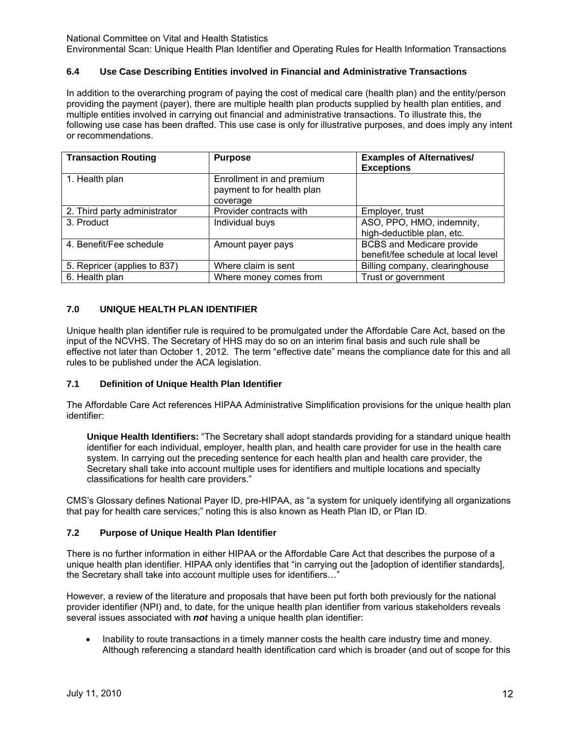Environmental Scan: Unique Health Plan Identifier and Operating Rules for Health Information Transactions

## **6.4 Use Case Describing Entities involved in Financial and Administrative Transactions**

In addition to the overarching program of paying the cost of medical care (health plan) and the entity/person providing the payment (payer), there are multiple health plan products supplied by health plan entities, and multiple entities involved in carrying out financial and administrative transactions. To illustrate this, the following use case has been drafted. This use case is only for illustrative purposes, and does imply any intent or recommendations.

| <b>Transaction Routing</b>   | <b>Purpose</b>                                                      | <b>Examples of Alternatives/</b><br><b>Exceptions</b>                   |
|------------------------------|---------------------------------------------------------------------|-------------------------------------------------------------------------|
| 1. Health plan               | Enrollment in and premium<br>payment to for health plan<br>coverage |                                                                         |
| 2. Third party administrator | Provider contracts with                                             | Employer, trust                                                         |
| 3. Product                   | Individual buys                                                     | ASO, PPO, HMO, indemnity,<br>high-deductible plan, etc.                 |
| 4. Benefit/Fee schedule      | Amount payer pays                                                   | <b>BCBS</b> and Medicare provide<br>benefit/fee schedule at local level |
| 5. Repricer (applies to 837) | Where claim is sent                                                 | Billing company, clearinghouse                                          |
| 6. Health plan               | Where money comes from                                              | Trust or government                                                     |

## **7.0 UNIQUE HEALTH PLAN IDENTIFIER**

Unique health plan identifier rule is required to be promulgated under the Affordable Care Act, based on the input of the NCVHS. The Secretary of HHS may do so on an interim final basis and such rule shall be effective not later than October 1, 2012. The term "effective date" means the compliance date for this and all rules to be published under the ACA legislation.

#### **7.1 Definition of Unique Health Plan Identifier**

The Affordable Care Act references HIPAA Administrative Simplification provisions for the unique health plan identifier:

**Unique Health Identifiers:** "The Secretary shall adopt standards providing for a standard unique health identifier for each individual, employer, health plan, and health care provider for use in the health care system. In carrying out the preceding sentence for each health plan and health care provider, the Secretary shall take into account multiple uses for identifiers and multiple locations and specialty classifications for health care providers."

CMS's Glossary defines National Payer ID, pre-HIPAA, as "a system for uniquely identifying all organizations that pay for health care services;" noting this is also known as Heath Plan ID, or Plan ID.

#### **7.2 Purpose of Unique Health Plan Identifier**

There is no further information in either HIPAA or the Affordable Care Act that describes the purpose of a unique health plan identifier. HIPAA only identifies that "in carrying out the [adoption of identifier standards], the Secretary shall take into account multiple uses for identifiers…"

However, a review of the literature and proposals that have been put forth both previously for the national provider identifier (NPI) and, to date, for the unique health plan identifier from various stakeholders reveals several issues associated with *not* having a unique health plan identifier:

• Inability to route transactions in a timely manner costs the health care industry time and money. Although referencing a standard health identification card which is broader (and out of scope for this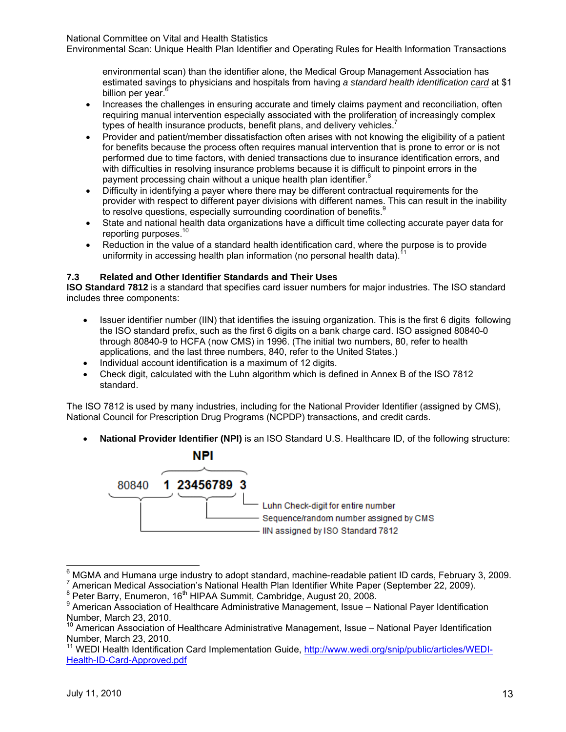Environmental Scan: Unique Health Plan Identifier and Operating Rules for Health Information Transactions

environmental scan) than the identifier alone, the Medical Group Management Association has estimated savings to physicians and hospitals from having *a standard health identification card* at \$1 billion per vear.<sup>6</sup>

- Increases the challenges in ensuring accurate and timely claims payment and reconciliation, often requiring manual intervention especially associated with the proliferation of increasingly complex types of health insurance products, benefit plans, and delivery vehicles.
- Provider and patient/member dissatisfaction often arises with not knowing the eligibility of a patient for benefits because the process often requires manual intervention that is prone to error or is not performed due to time factors, with denied transactions due to insurance identification errors, and with difficulties in resolving insurance problems because it is difficult to pinpoint errors in the payment processing chain without a unique health plan identifier.<sup>8</sup>
- Difficulty in identifying a payer where there may be different contractual requirements for the provider with respect to different payer divisions with different names. This can result in the inability to resolve questions, especially surrounding coordination of benefits.<sup>9</sup>
- State and national health data organizations have a difficult time collecting accurate payer data for reporting purposes.<sup>10</sup>
- Reduction in the value of a standard health identification card, where the purpose is to provide uniformity in accessing health plan information (no personal health data).<sup>1</sup>

## **7.3 Related and Other Identifier Standards and Their Uses**

**ISO Standard 7812** is a standard that specifies card issuer numbers for major industries. The ISO standard includes three components:

- Issuer identifier number (IIN) that identifies the issuing organization. This is the first 6 digits following the ISO standard prefix, such as the first 6 digits on a bank charge card. ISO assigned 80840-0 through 80840-9 to HCFA (now CMS) in 1996. (The initial two numbers, 80, refer to health applications, and the last three numbers, 840, refer to the United States.)
- Individual account identification is a maximum of 12 digits.
- Check digit, calculated with the Luhn algorithm which is defined in Annex B of the ISO 7812 standard.

The ISO 7812 is used by many industries, including for the National Provider Identifier (assigned by CMS), National Council for Prescription Drug Programs (NCPDP) transactions, and credit cards.

• **National Provider Identifier (NPI)** is an ISO Standard U.S. Healthcare ID, of the following structure:



 6 MGMA and Humana urge industry to adopt standard, machine-readable patient ID cards, February 3, 2009. 7

 $7$  American Medical Association's National Health Plan Identifier White Paper (September 22, 2009).

<sup>&</sup>lt;sup>8</sup> Peter Barry, Enumeron, 16<sup>th</sup> HIPAA Summit, Cambridge, August 20, 2008.

<sup>&</sup>lt;sup>9</sup> American Association of Healthcare Administrative Management, Issue – National Payer Identification Number, March 23, 2010.

<sup>10</sup> American Association of Healthcare Administrative Management, Issue – National Payer Identification Number, March 23, 2010.

<sup>&</sup>lt;sup>11</sup> WEDI Health Identification Card Implementation Guide, http://www.wedi.org/snip/public/articles/WEDI-Health-ID-Card-Approved.pdf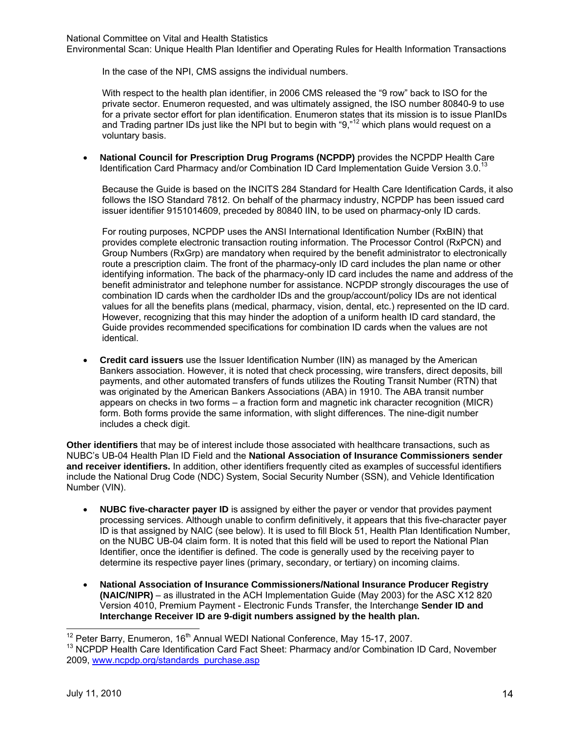Environmental Scan: Unique Health Plan Identifier and Operating Rules for Health Information Transactions

In the case of the NPI, CMS assigns the individual numbers.

With respect to the health plan identifier, in 2006 CMS released the "9 row" back to ISO for the private sector. Enumeron requested, and was ultimately assigned, the ISO number 80840-9 to use for a private sector effort for plan identification. Enumeron states that its mission is to issue PlanIDs and Trading partner IDs just like the NPI but to begin with "9,"<sup>12</sup> which plans would request on a voluntary basis.

• **National Council for Prescription Drug Programs (NCPDP)** provides the NCPDP Health Care Identification Card Pharmacy and/or Combination ID Card Implementation Guide Version 3.0.<sup>13</sup>

Because the Guide is based on the INCITS 284 Standard for Health Care Identification Cards, it also follows the ISO Standard 7812. On behalf of the pharmacy industry, NCPDP has been issued card issuer identifier 9151014609, preceded by 80840 IIN, to be used on pharmacy-only ID cards.

For routing purposes, NCPDP uses the ANSI International Identification Number (RxBIN) that provides complete electronic transaction routing information. The Processor Control (RxPCN) and Group Numbers (RxGrp) are mandatory when required by the benefit administrator to electronically route a prescription claim. The front of the pharmacy-only ID card includes the plan name or other identifying information. The back of the pharmacy-only ID card includes the name and address of the benefit administrator and telephone number for assistance. NCPDP strongly discourages the use of combination ID cards when the cardholder IDs and the group/account/policy IDs are not identical values for all the benefits plans (medical, pharmacy, vision, dental, etc.) represented on the ID card. However, recognizing that this may hinder the adoption of a uniform health ID card standard, the Guide provides recommended specifications for combination ID cards when the values are not identical.

• **Credit card issuers** use the Issuer Identification Number (IIN) as managed by the American Bankers association. However, it is noted that check processing, wire transfers, direct deposits, bill payments, and other automated transfers of funds utilizes the Routing Transit Number (RTN) that was originated by the American Bankers Associations (ABA) in 1910. The ABA transit number appears on checks in two forms – a fraction form and magnetic ink character recognition (MICR) form. Both forms provide the same information, with slight differences. The nine-digit number includes a check digit.

**Other identifiers** that may be of interest include those associated with healthcare transactions, such as NUBC's UB-04 Health Plan ID Field and the **National Association of Insurance Commissioners sender and receiver identifiers.** In addition, other identifiers frequently cited as examples of successful identifiers include the National Drug Code (NDC) System, Social Security Number (SSN), and Vehicle Identification Number (VIN).

- **NUBC five-character payer ID** is assigned by either the payer or vendor that provides payment processing services. Although unable to confirm definitively, it appears that this five-character payer ID is that assigned by NAIC (see below). It is used to fill Block 51, Health Plan Identification Number, on the NUBC UB-04 claim form. It is noted that this field will be used to report the National Plan Identifier, once the identifier is defined. The code is generally used by the receiving payer to determine its respective payer lines (primary, secondary, or tertiary) on incoming claims.
- **National Association of Insurance Commissioners/National Insurance Producer Registry (NAIC/NIPR)** – as illustrated in the ACH Implementation Guide (May 2003) for the ASC X12 820 Version 4010, Premium Payment - Electronic Funds Transfer, the Interchange **Sender ID and Interchange Receiver ID are 9-digit numbers assigned by the health plan.**

<sup>&</sup>lt;sup>12</sup> Peter Barry, Enumeron, 16<sup>th</sup> Annual WEDI National Conference, May 15-17, 2007.

<sup>&</sup>lt;sup>13</sup> NCPDP Health Care Identification Card Fact Sheet: Pharmacy and/or Combination ID Card, November 2009, www.ncpdp.org/standards\_purchase.asp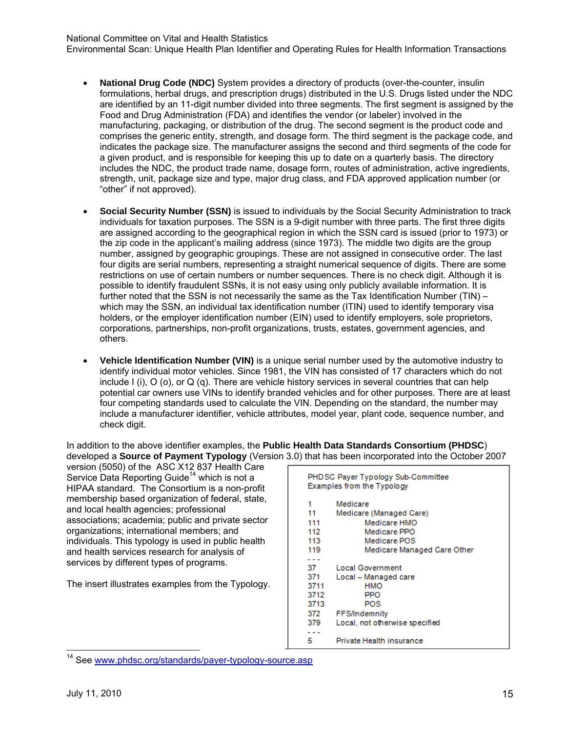Environmental Scan: Unique Health Plan Identifier and Operating Rules for Health Information Transactions

- **National Drug Code (NDC)** System provides a directory of products (over-the-counter, insulin formulations, herbal drugs, and prescription drugs) distributed in the U.S. Drugs listed under the NDC are identified by an 11-digit number divided into three segments. The first segment is assigned by the Food and Drug Administration (FDA) and identifies the vendor (or labeler) involved in the manufacturing, packaging, or distribution of the drug. The second segment is the product code and comprises the generic entity, strength, and dosage form. The third segment is the package code, and indicates the package size. The manufacturer assigns the second and third segments of the code for a given product, and is responsible for keeping this up to date on a quarterly basis. The directory includes the NDC, the product trade name, dosage form, routes of administration, active ingredients, strength, unit, package size and type, major drug class, and FDA approved application number (or "other" if not approved).
- **Social Security Number (SSN)** is issued to individuals by the Social Security Administration to track individuals for taxation purposes. The SSN is a 9-digit number with three parts. The first three digits are assigned according to the geographical region in which the SSN card is issued (prior to 1973) or the zip code in the applicant's mailing address (since 1973). The middle two digits are the group number, assigned by geographic groupings. These are not assigned in consecutive order. The last four digits are serial numbers, representing a straight numerical sequence of digits. There are some restrictions on use of certain numbers or number sequences. There is no check digit. Although it is possible to identify fraudulent SSNs, it is not easy using only publicly available information. It is further noted that the SSN is not necessarily the same as the Tax Identification Number (TIN) – which may the SSN, an individual tax identification number (ITIN) used to identify temporary visa holders, or the employer identification number (EIN) used to identify employers, sole proprietors, corporations, partnerships, non-profit organizations, trusts, estates, government agencies, and others.
- **Vehicle Identification Number (VIN)** is a unique serial number used by the automotive industry to identify individual motor vehicles. Since 1981, the VIN has consisted of 17 characters which do not include I (i),  $O$  (o), or  $Q$  (q). There are vehicle history services in several countries that can help potential car owners use VINs to identify branded vehicles and for other purposes. There are at least four competing standards used to calculate the VIN. Depending on the standard, the number may include a manufacturer identifier, vehicle attributes, model year, plant code, sequence number, and check digit.

In addition to the above identifier examples, the **Public Health Data Standards Consortium (PHDSC**) developed a **Source of Payment Typology** (Version 3.0) that has been incorporated into the October 2007

version (5050) of the ASC X12 837 Health Care Service Data Reporting Guide<sup>14</sup> which is not a HIPAA standard. The Consortium is a non-profit membership based organization of federal, state, and local health agencies; professional associations; academia; public and private sector organizations; international members; and individuals. This typology is used in public health and health services research for analysis of services by different types of programs.

The insert illustrates examples from the Typology.

PHDSC Payer Typology Sub-Committee Examples from the Typology  $\mathbf{1}$ Medicare  $11$ Medicare (Managed Care) 111 Medicare HMO 112 Medicare PPO Medicare POS 113 119 Medicare Managed Care Other . . . 37 **Local Government** 371 Local - Managed care 3711 **HMO** PPO 3712 3713 **POS** 372 FFS/Indemnity 379 Local, not otherwise specified 5 Private Health insurance

<sup>&</sup>lt;sup>14</sup> See www.phdsc.org/standards/payer-typology-source.asp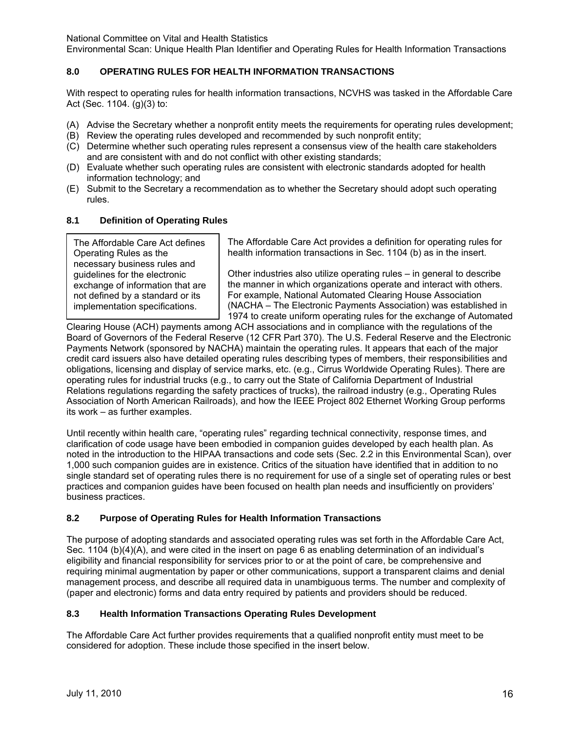Environmental Scan: Unique Health Plan Identifier and Operating Rules for Health Information Transactions

## **8.0 OPERATING RULES FOR HEALTH INFORMATION TRANSACTIONS**

With respect to operating rules for health information transactions, NCVHS was tasked in the Affordable Care Act (Sec. 1104. (g)(3) to:

- (A) Advise the Secretary whether a nonprofit entity meets the requirements for operating rules development;
- (B) Review the operating rules developed and recommended by such nonprofit entity;
- (C) Determine whether such operating rules represent a consensus view of the health care stakeholders and are consistent with and do not conflict with other existing standards;
- (D) Evaluate whether such operating rules are consistent with electronic standards adopted for health information technology; and
- (E) Submit to the Secretary a recommendation as to whether the Secretary should adopt such operating rules.

#### **8.1 Definition of Operating Rules**

The Affordable Care Act defines Operating Rules as the necessary business rules and guidelines for the electronic exchange of information that are not defined by a standard or its implementation specifications.

The Affordable Care Act provides a definition for operating rules for health information transactions in Sec. 1104 (b) as in the insert.

Other industries also utilize operating rules – in general to describe the manner in which organizations operate and interact with others. For example, National Automated Clearing House Association (NACHA – The Electronic Payments Association) was established in 1974 to create uniform operating rules for the exchange of Automated

Clearing House (ACH) payments among ACH associations and in compliance with the regulations of the Board of Governors of the Federal Reserve (12 CFR Part 370). The U.S. Federal Reserve and the Electronic Payments Network (sponsored by NACHA) maintain the operating rules. It appears that each of the major credit card issuers also have detailed operating rules describing types of members, their responsibilities and obligations, licensing and display of service marks, etc. (e.g., Cirrus Worldwide Operating Rules). There are operating rules for industrial trucks (e.g., to carry out the State of California Department of Industrial Relations regulations regarding the safety practices of trucks), the railroad industry (e.g., Operating Rules Association of North American Railroads), and how the IEEE Project 802 Ethernet Working Group performs its work – as further examples.

Until recently within health care, "operating rules" regarding technical connectivity, response times, and clarification of code usage have been embodied in companion guides developed by each health plan. As noted in the introduction to the HIPAA transactions and code sets (Sec. 2.2 in this Environmental Scan), over 1,000 such companion guides are in existence. Critics of the situation have identified that in addition to no single standard set of operating rules there is no requirement for use of a single set of operating rules or best practices and companion guides have been focused on health plan needs and insufficiently on providers' business practices.

#### **8.2 Purpose of Operating Rules for Health Information Transactions**

The purpose of adopting standards and associated operating rules was set forth in the Affordable Care Act, Sec. 1104 (b)(4)(A), and were cited in the insert on page 6 as enabling determination of an individual's eligibility and financial responsibility for services prior to or at the point of care, be comprehensive and requiring minimal augmentation by paper or other communications, support a transparent claims and denial management process, and describe all required data in unambiguous terms. The number and complexity of (paper and electronic) forms and data entry required by patients and providers should be reduced.

#### **8.3 Health Information Transactions Operating Rules Development**

The Affordable Care Act further provides requirements that a qualified nonprofit entity must meet to be considered for adoption. These include those specified in the insert below.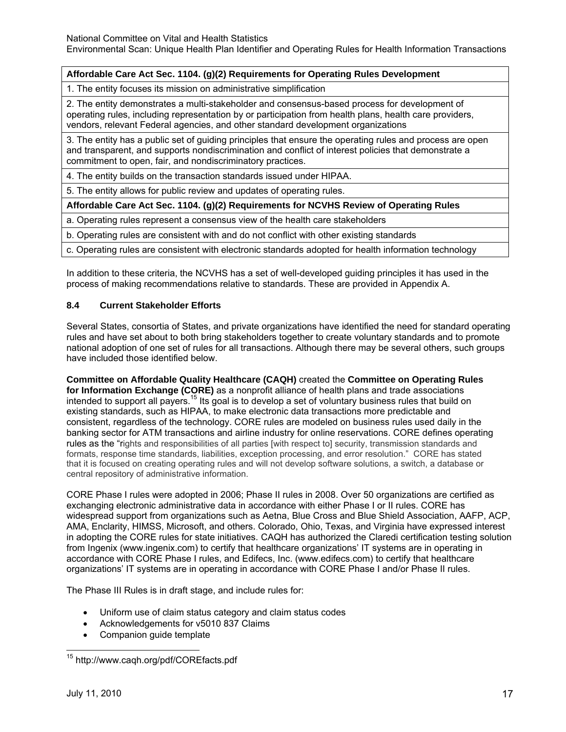## **Affordable Care Act Sec. 1104. (g)(2) Requirements for Operating Rules Development**

1. The entity focuses its mission on administrative simplification

2. The entity demonstrates a multi-stakeholder and consensus-based process for development of operating rules, including representation by or participation from health plans, health care providers, vendors, relevant Federal agencies, and other standard development organizations

3. The entity has a public set of guiding principles that ensure the operating rules and process are open and transparent, and supports nondiscrimination and conflict of interest policies that demonstrate a commitment to open, fair, and nondiscriminatory practices.

4. The entity builds on the transaction standards issued under HIPAA.

5. The entity allows for public review and updates of operating rules.

**Affordable Care Act Sec. 1104. (g)(2) Requirements for NCVHS Review of Operating Rules**

a. Operating rules represent a consensus view of the health care stakeholders

b. Operating rules are consistent with and do not conflict with other existing standards

c. Operating rules are consistent with electronic standards adopted for health information technology

In addition to these criteria, the NCVHS has a set of well-developed guiding principles it has used in the process of making recommendations relative to standards. These are provided in Appendix A.

#### **8.4 Current Stakeholder Efforts**

Several States, consortia of States, and private organizations have identified the need for standard operating rules and have set about to both bring stakeholders together to create voluntary standards and to promote national adoption of one set of rules for all transactions. Although there may be several others, such groups have included those identified below.

**Committee on Affordable Quality Healthcare (CAQH)** created the **Committee on Operating Rules for Information Exchange (CORE)** as a nonprofit alliance of health plans and trade associations intended to support all payers.15 Its goal is to develop a set of voluntary business rules that build on existing standards, such as HIPAA, to make electronic data transactions more predictable and consistent, regardless of the technology. CORE rules are modeled on business rules used daily in the banking sector for ATM transactions and airline industry for online reservations. CORE defines operating rules as the "rights and responsibilities of all parties [with respect to] security, transmission standards and formats, response time standards, liabilities, exception processing, and error resolution." CORE has stated that it is focused on creating operating rules and will not develop software solutions, a switch, a database or central repository of administrative information.

CORE Phase I rules were adopted in 2006; Phase II rules in 2008. Over 50 organizations are certified as exchanging electronic administrative data in accordance with either Phase I or II rules. CORE has widespread support from organizations such as Aetna, Blue Cross and Blue Shield Association, AAFP, ACP, AMA, Enclarity, HIMSS, Microsoft, and others. Colorado, Ohio, Texas, and Virginia have expressed interest in adopting the CORE rules for state initiatives. CAQH has authorized the Claredi certification testing solution from Ingenix (www.ingenix.com) to certify that healthcare organizations' IT systems are in operating in accordance with CORE Phase I rules, and Edifecs, Inc. (www.edifecs.com) to certify that healthcare organizations' IT systems are in operating in accordance with CORE Phase I and/or Phase II rules.

The Phase III Rules is in draft stage, and include rules for:

- Uniform use of claim status category and claim status codes
- Acknowledgements for v5010 837 Claims
- Companion guide template

<sup>15</sup> http://www.caqh.org/pdf/COREfacts.pdf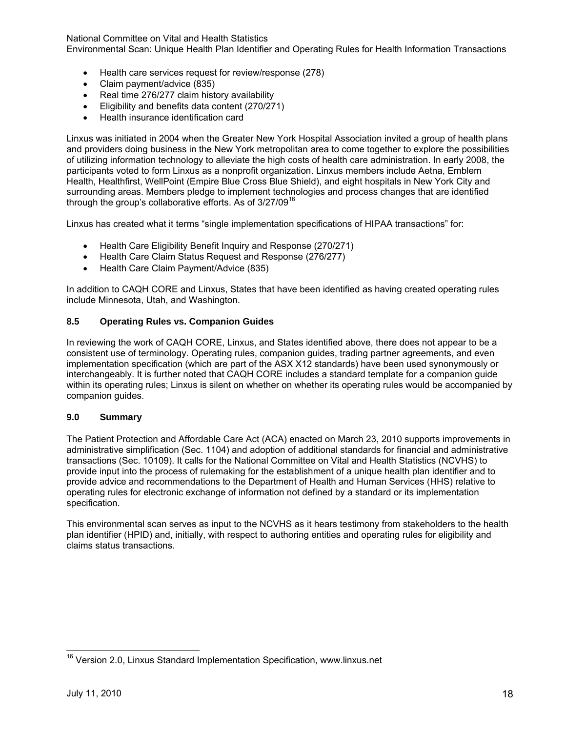Environmental Scan: Unique Health Plan Identifier and Operating Rules for Health Information Transactions

- Health care services request for review/response (278)
- Claim payment/advice (835)
- Real time 276/277 claim history availability
- Eligibility and benefits data content (270/271)
- Health insurance identification card

Linxus was initiated in 2004 when the Greater New York Hospital Association invited a group of health plans and providers doing business in the New York metropolitan area to come together to explore the possibilities of utilizing information technology to alleviate the high costs of health care administration. In early 2008, the participants voted to form Linxus as a nonprofit organization. Linxus members include Aetna, Emblem Health, Healthfirst, WellPoint (Empire Blue Cross Blue Shield), and eight hospitals in New York City and surrounding areas. Members pledge to implement technologies and process changes that are identified through the group's collaborative efforts. As of  $3/27/09^{16}$ 

Linxus has created what it terms "single implementation specifications of HIPAA transactions" for:

- Health Care Eligibility Benefit Inquiry and Response (270/271)
- Health Care Claim Status Request and Response (276/277)
- Health Care Claim Payment/Advice (835)

In addition to CAQH CORE and Linxus, States that have been identified as having created operating rules include Minnesota, Utah, and Washington.

#### **8.5 Operating Rules vs. Companion Guides**

In reviewing the work of CAQH CORE, Linxus, and States identified above, there does not appear to be a consistent use of terminology. Operating rules, companion guides, trading partner agreements, and even implementation specification (which are part of the ASX X12 standards) have been used synonymously or interchangeably. It is further noted that CAQH CORE includes a standard template for a companion guide within its operating rules; Linxus is silent on whether on whether its operating rules would be accompanied by companion guides.

#### **9.0 Summary**

The Patient Protection and Affordable Care Act (ACA) enacted on March 23, 2010 supports improvements in administrative simplification (Sec. 1104) and adoption of additional standards for financial and administrative transactions (Sec. 10109). It calls for the National Committee on Vital and Health Statistics (NCVHS) to provide input into the process of rulemaking for the establishment of a unique health plan identifier and to provide advice and recommendations to the Department of Health and Human Services (HHS) relative to operating rules for electronic exchange of information not defined by a standard or its implementation specification.

This environmental scan serves as input to the NCVHS as it hears testimony from stakeholders to the health plan identifier (HPID) and, initially, with respect to authoring entities and operating rules for eligibility and claims status transactions.

-

<sup>&</sup>lt;sup>16</sup> Version 2.0, Linxus Standard Implementation Specification, www.linxus.net